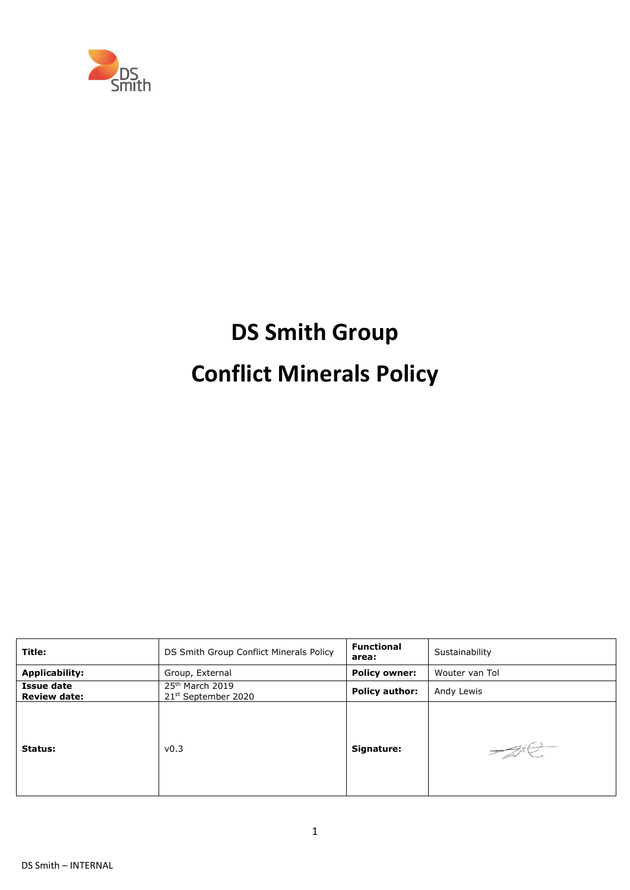

# **DS Smith Group Conflict Minerals Policy**

| Title:                            | DS Smith Group Conflict Minerals Policy              | <b>Functional</b><br>area: | Sustainability |
|-----------------------------------|------------------------------------------------------|----------------------------|----------------|
| <b>Applicability:</b>             | Group, External                                      | <b>Policy owner:</b>       | Wouter van Tol |
| Issue date<br><b>Review date:</b> | $25th$ March 2019<br>21 <sup>st</sup> September 2020 | <b>Policy author:</b>      | Andy Lewis     |
| Status:                           | v0.3                                                 | Signature:                 |                |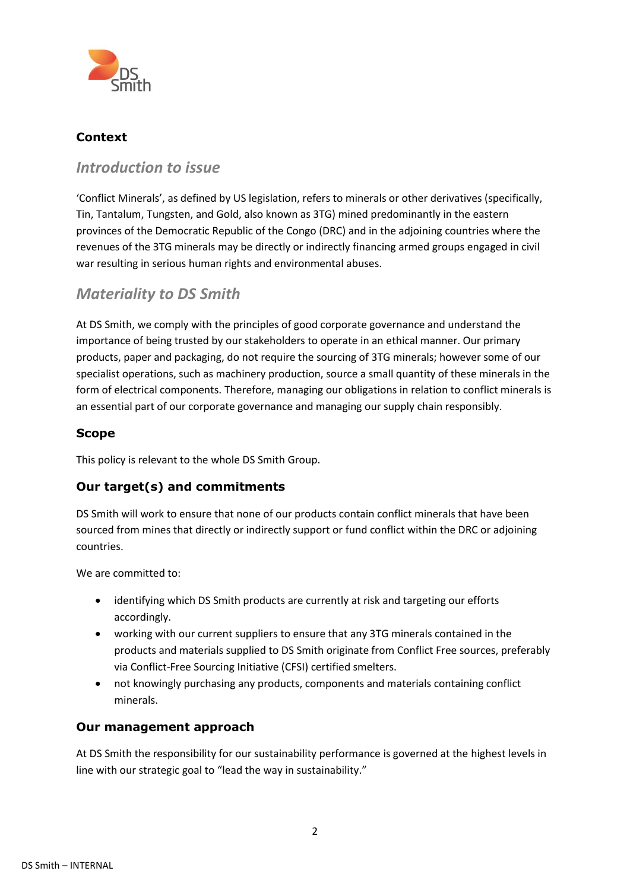

## **Context**

## *Introduction to issue*

'Conflict Minerals', as defined by US legislation, refers to minerals or other derivatives (specifically, Tin, Tantalum, Tungsten, and Gold, also known as 3TG) mined predominantly in the eastern provinces of the Democratic Republic of the Congo (DRC) and in the adjoining countries where the revenues of the 3TG minerals may be directly or indirectly financing armed groups engaged in civil war resulting in serious human rights and environmental abuses.

# *Materiality to DS Smith*

At DS Smith, we comply with the principles of good corporate governance and understand the importance of being trusted by our stakeholders to operate in an ethical manner. Our primary products, paper and packaging, do not require the sourcing of 3TG minerals; however some of our specialist operations, such as machinery production, source a small quantity of these minerals in the form of electrical components. Therefore, managing our obligations in relation to conflict minerals is an essential part of our corporate governance and managing our supply chain responsibly.

#### **Scope**

This policy is relevant to the whole DS Smith Group.

## **Our target(s) and commitments**

DS Smith will work to ensure that none of our products contain conflict minerals that have been sourced from mines that directly or indirectly support or fund conflict within the DRC or adjoining countries.

We are committed to:

- identifying which DS Smith products are currently at risk and targeting our efforts accordingly.
- working with our current suppliers to ensure that any 3TG minerals contained in the products and materials supplied to DS Smith originate from Conflict Free sources, preferably via Conflict-Free Sourcing Initiative (CFSI) certified smelters.
- not knowingly purchasing any products, components and materials containing conflict minerals.

#### **Our management approach**

At DS Smith the responsibility for our sustainability performance is governed at the highest levels in line with our strategic goal to "lead the way in sustainability."